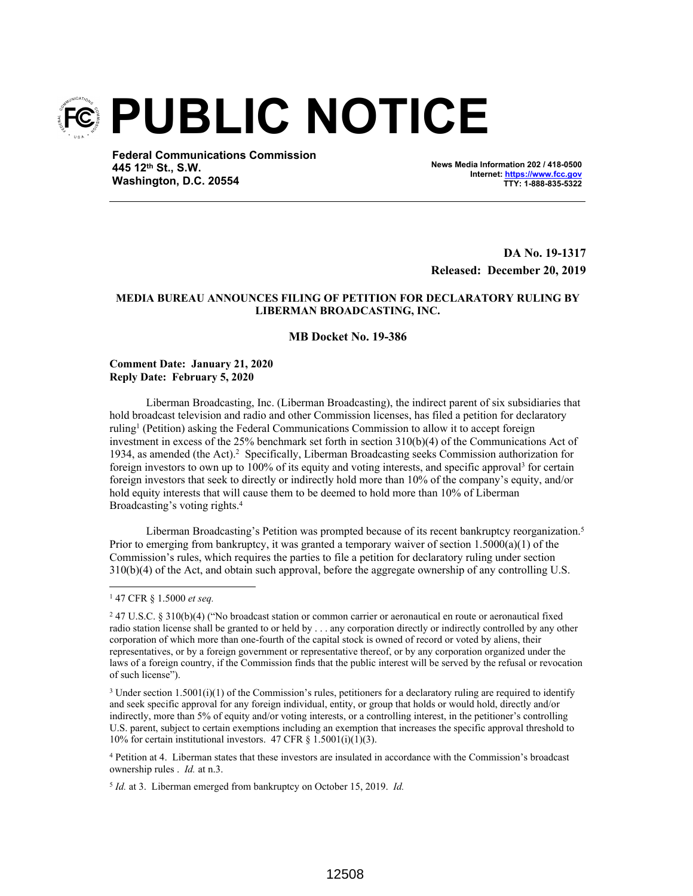

**Federal Communications Commission 445 12th St., S.W. Washington, D.C. 20554**

**News Media Information 202 / 418-0500 Internet: https://www.fcc.gov TTY: 1-888-835-5322**

**DA No. 19-1317 Released: December 20, 2019**

## **MEDIA BUREAU ANNOUNCES FILING OF PETITION FOR DECLARATORY RULING BY LIBERMAN BROADCASTING, INC.**

# **MB Docket No. 19-386**

#### **Comment Date: January 21, 2020 Reply Date: February 5, 2020**

Liberman Broadcasting, Inc. (Liberman Broadcasting), the indirect parent of six subsidiaries that hold broadcast television and radio and other Commission licenses, has filed a petition for declaratory ruling<sup>1</sup> (Petition) asking the Federal Communications Commission to allow it to accept foreign investment in excess of the 25% benchmark set forth in section 310(b)(4) of the Communications Act of 1934, as amended (the Act).<sup>2</sup> Specifically, Liberman Broadcasting seeks Commission authorization for foreign investors to own up to 100% of its equity and voting interests, and specific approval<sup>3</sup> for certain foreign investors that seek to directly or indirectly hold more than 10% of the company's equity, and/or hold equity interests that will cause them to be deemed to hold more than 10% of Liberman Broadcasting's voting rights.<sup>4</sup>

Liberman Broadcasting's Petition was prompted because of its recent bankruptcy reorganization.<sup>5</sup> Prior to emerging from bankruptcy, it was granted a temporary waiver of section  $1.5000(a)(1)$  of the Commission's rules, which requires the parties to file a petition for declaratory ruling under section 310(b)(4) of the Act, and obtain such approval, before the aggregate ownership of any controlling U.S.

4 Petition at 4. Liberman states that these investors are insulated in accordance with the Commission's broadcast ownership rules . *Id.* at n.3.

5 *Id.* at 3. Liberman emerged from bankruptcy on October 15, 2019. *Id.*

<sup>1</sup> 47 CFR § 1.5000 *et seq.* 

<sup>2</sup> 47 U.S.C. § 310(b)(4) ("No broadcast station or common carrier or aeronautical en route or aeronautical fixed radio station license shall be granted to or held by . . . any corporation directly or indirectly controlled by any other corporation of which more than one-fourth of the capital stock is owned of record or voted by aliens, their representatives, or by a foreign government or representative thereof, or by any corporation organized under the laws of a foreign country, if the Commission finds that the public interest will be served by the refusal or revocation of such license").

 $3$  Under section 1.5001(i)(1) of the Commission's rules, petitioners for a declaratory ruling are required to identify and seek specific approval for any foreign individual, entity, or group that holds or would hold, directly and/or indirectly, more than 5% of equity and/or voting interests, or a controlling interest, in the petitioner's controlling U.S. parent, subject to certain exemptions including an exemption that increases the specific approval threshold to 10% for certain institutional investors. 47 CFR  $\S$  1.5001(i)(1)(3).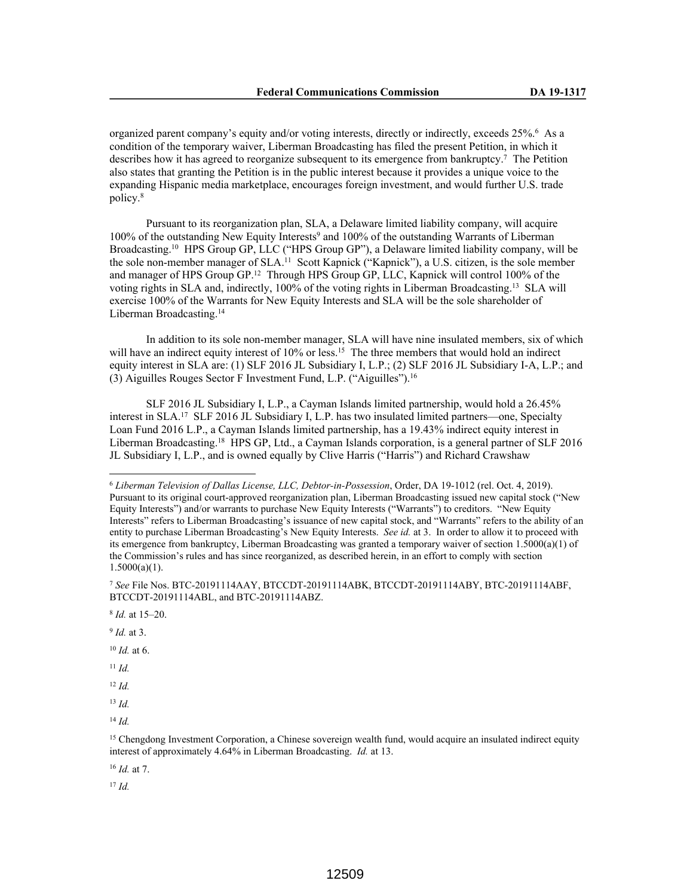organized parent company's equity and/or voting interests, directly or indirectly, exceeds 25%.<sup>6</sup> As a condition of the temporary waiver, Liberman Broadcasting has filed the present Petition, in which it describes how it has agreed to reorganize subsequent to its emergence from bankruptcy.<sup>7</sup> The Petition also states that granting the Petition is in the public interest because it provides a unique voice to the expanding Hispanic media marketplace, encourages foreign investment, and would further U.S. trade policy.<sup>8</sup>

Pursuant to its reorganization plan, SLA, a Delaware limited liability company, will acquire 100% of the outstanding New Equity Interests<sup>9</sup> and 100% of the outstanding Warrants of Liberman Broadcasting.<sup>10</sup> HPS Group GP, LLC ("HPS Group GP"), a Delaware limited liability company, will be the sole non-member manager of SLA.<sup>11</sup> Scott Kapnick ("Kapnick"), a U.S. citizen, is the sole member and manager of HPS Group GP.<sup>12</sup> Through HPS Group GP, LLC, Kapnick will control 100% of the voting rights in SLA and, indirectly, 100% of the voting rights in Liberman Broadcasting.<sup>13</sup> SLA will exercise 100% of the Warrants for New Equity Interests and SLA will be the sole shareholder of Liberman Broadcasting.<sup>14</sup>

In addition to its sole non-member manager, SLA will have nine insulated members, six of which will have an indirect equity interest of 10% or less.<sup>15</sup> The three members that would hold an indirect equity interest in SLA are: (1) SLF 2016 JL Subsidiary I, L.P.; (2) SLF 2016 JL Subsidiary I-A, L.P.; and (3) Aiguilles Rouges Sector F Investment Fund, L.P. ("Aiguilles").<sup>16</sup>

SLF 2016 JL Subsidiary I, L.P., a Cayman Islands limited partnership, would hold a 26.45% interest in SLA.<sup>17</sup> SLF 2016 JL Subsidiary I, L.P. has two insulated limited partners—one, Specialty Loan Fund 2016 L.P., a Cayman Islands limited partnership, has a 19.43% indirect equity interest in Liberman Broadcasting.<sup>18</sup> HPS GP, Ltd., a Cayman Islands corporation, is a general partner of SLF 2016 JL Subsidiary I, L.P., and is owned equally by Clive Harris ("Harris") and Richard Crawshaw

9 *Id.* at 3.

<sup>10</sup> *Id.* at 6.

<sup>11</sup> *Id.*

<sup>12</sup> *Id.*

<sup>13</sup> *Id.*

<sup>14</sup> *Id.*

<sup>16</sup> *Id.* at 7.

<sup>17</sup> *Id.*

<sup>6</sup> *Liberman Television of Dallas License, LLC, Debtor-in-Possession*, Order, DA 19-1012 (rel. Oct. 4, 2019). Pursuant to its original court-approved reorganization plan, Liberman Broadcasting issued new capital stock ("New Equity Interests") and/or warrants to purchase New Equity Interests ("Warrants") to creditors. "New Equity Interests" refers to Liberman Broadcasting's issuance of new capital stock, and "Warrants" refers to the ability of an entity to purchase Liberman Broadcasting's New Equity Interests. *See id.* at 3. In order to allow it to proceed with its emergence from bankruptcy, Liberman Broadcasting was granted a temporary waiver of section 1.5000(a)(1) of the Commission's rules and has since reorganized, as described herein, in an effort to comply with section  $1.5000(a)(1)$ .

<sup>7</sup> *See* File Nos. BTC-20191114AAY, BTCCDT-20191114ABK, BTCCDT-20191114ABY, BTC-20191114ABF, BTCCDT-20191114ABL, and BTC-20191114ABZ.

<sup>8</sup> *Id.* at 15–20.

<sup>&</sup>lt;sup>15</sup> Chengdong Investment Corporation, a Chinese sovereign wealth fund, would acquire an insulated indirect equity interest of approximately 4.64% in Liberman Broadcasting. *Id.* at 13.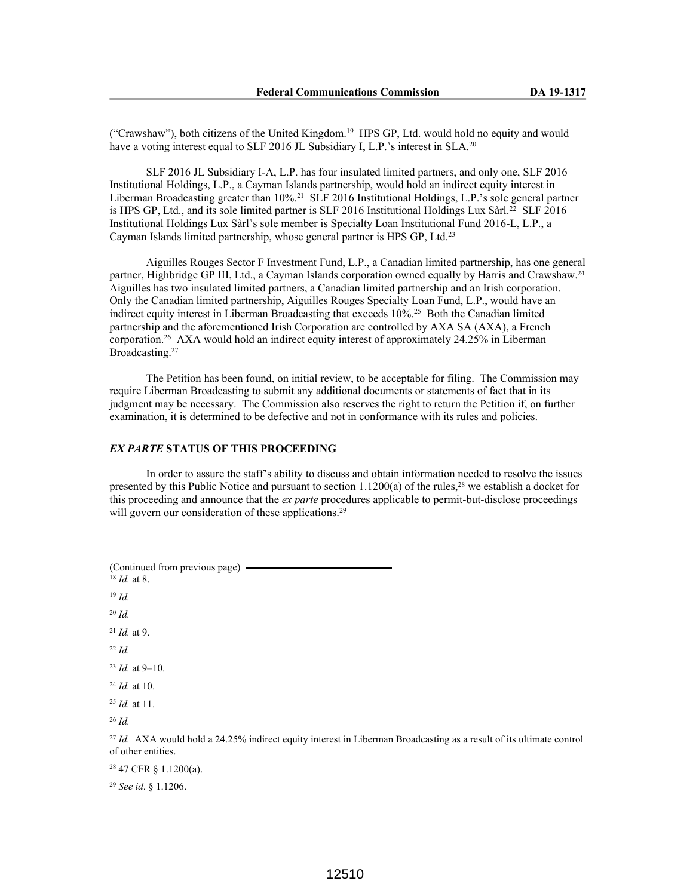("Crawshaw"), both citizens of the United Kingdom.<sup>19</sup> HPS GP, Ltd. would hold no equity and would have a voting interest equal to SLF 2016 JL Subsidiary I, L.P.'s interest in SLA.<sup>20</sup>

SLF 2016 JL Subsidiary I-A, L.P. has four insulated limited partners, and only one, SLF 2016 Institutional Holdings, L.P., a Cayman Islands partnership, would hold an indirect equity interest in Liberman Broadcasting greater than 10%.<sup>21</sup> SLF 2016 Institutional Holdings, L.P.'s sole general partner is HPS GP, Ltd., and its sole limited partner is SLF 2016 Institutional Holdings Lux Sàrl.<sup>22</sup> SLF 2016 Institutional Holdings Lux Sàrl's sole member is Specialty Loan Institutional Fund 2016-L, L.P., a Cayman Islands limited partnership, whose general partner is HPS GP, Ltd.<sup>23</sup>

Aiguilles Rouges Sector F Investment Fund, L.P., a Canadian limited partnership, has one general partner, Highbridge GP III, Ltd., a Cayman Islands corporation owned equally by Harris and Crawshaw.<sup>24</sup> Aiguilles has two insulated limited partners, a Canadian limited partnership and an Irish corporation. Only the Canadian limited partnership, Aiguilles Rouges Specialty Loan Fund, L.P., would have an indirect equity interest in Liberman Broadcasting that exceeds 10%.<sup>25</sup> Both the Canadian limited partnership and the aforementioned Irish Corporation are controlled by AXA SA (AXA), a French corporation.<sup>26</sup> AXA would hold an indirect equity interest of approximately 24.25% in Liberman Broadcasting.<sup>27</sup>

The Petition has been found, on initial review, to be acceptable for filing. The Commission may require Liberman Broadcasting to submit any additional documents or statements of fact that in its judgment may be necessary. The Commission also reserves the right to return the Petition if, on further examination, it is determined to be defective and not in conformance with its rules and policies.

## *EX PARTE* **STATUS OF THIS PROCEEDING**

In order to assure the staff's ability to discuss and obtain information needed to resolve the issues presented by this Public Notice and pursuant to section 1.1200(a) of the rules,<sup>28</sup> we establish a docket for this proceeding and announce that the *ex parte* procedures applicable to permit-but-disclose proceedings will govern our consideration of these applications.<sup>29</sup>

(Continued from previous page) <sup>18</sup> *Id.* at 8. <sup>19</sup> *Id.* <sup>20</sup> *Id.* <sup>21</sup> *Id.* at 9. <sup>22</sup> *Id.* <sup>23</sup> *Id.* at 9–10. <sup>24</sup> *Id.* at 10. <sup>25</sup> *Id.* at 11. <sup>26</sup> *Id.* <sup>27</sup> *Id.* AXA would hold a 24.25% indirect equity interest in Liberman Broadcasting as a result of its ultimate control of other entities. <sup>28</sup> 47 CFR § 1.1200(a).

<sup>29</sup> *See id*. § 1.1206.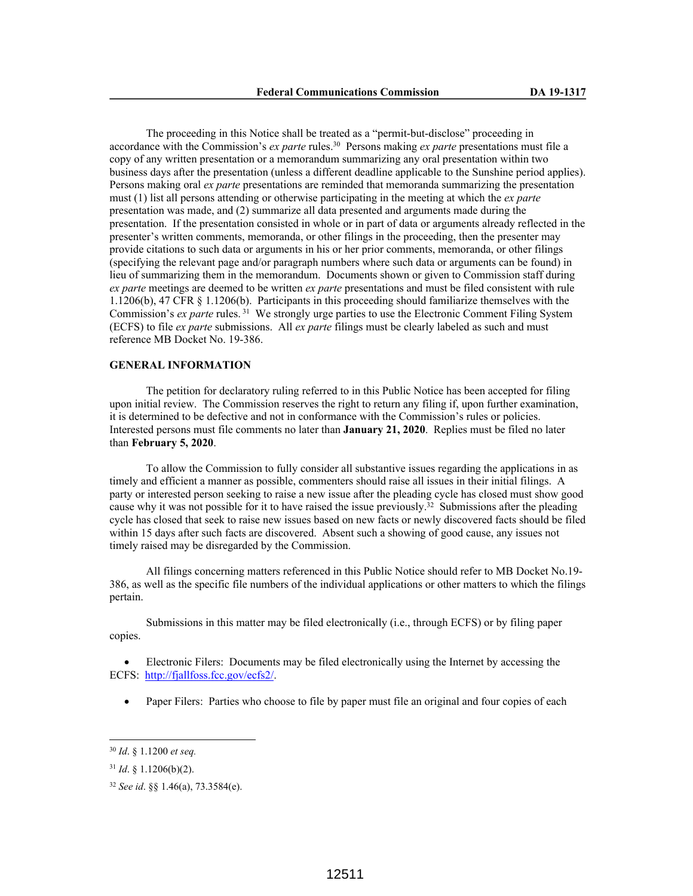The proceeding in this Notice shall be treated as a "permit-but-disclose" proceeding in accordance with the Commission's *ex parte* rules.<sup>30</sup> Persons making *ex parte* presentations must file a copy of any written presentation or a memorandum summarizing any oral presentation within two business days after the presentation (unless a different deadline applicable to the Sunshine period applies). Persons making oral *ex parte* presentations are reminded that memoranda summarizing the presentation must (1) list all persons attending or otherwise participating in the meeting at which the *ex parte*  presentation was made, and (2) summarize all data presented and arguments made during the presentation. If the presentation consisted in whole or in part of data or arguments already reflected in the presenter's written comments, memoranda, or other filings in the proceeding, then the presenter may provide citations to such data or arguments in his or her prior comments, memoranda, or other filings (specifying the relevant page and/or paragraph numbers where such data or arguments can be found) in lieu of summarizing them in the memorandum. Documents shown or given to Commission staff during *ex parte* meetings are deemed to be written *ex parte* presentations and must be filed consistent with rule 1.1206(b), 47 CFR § 1.1206(b). Participants in this proceeding should familiarize themselves with the Commission's *ex parte* rules.<sup>31</sup> We strongly urge parties to use the Electronic Comment Filing System (ECFS) to file *ex parte* submissions. All *ex parte* filings must be clearly labeled as such and must reference MB Docket No. 19-386.

#### **GENERAL INFORMATION**

The petition for declaratory ruling referred to in this Public Notice has been accepted for filing upon initial review. The Commission reserves the right to return any filing if, upon further examination, it is determined to be defective and not in conformance with the Commission's rules or policies. Interested persons must file comments no later than **January 21, 2020**. Replies must be filed no later than **February 5, 2020**.

To allow the Commission to fully consider all substantive issues regarding the applications in as timely and efficient a manner as possible, commenters should raise all issues in their initial filings. A party or interested person seeking to raise a new issue after the pleading cycle has closed must show good cause why it was not possible for it to have raised the issue previously.<sup>32</sup> Submissions after the pleading cycle has closed that seek to raise new issues based on new facts or newly discovered facts should be filed within 15 days after such facts are discovered. Absent such a showing of good cause, any issues not timely raised may be disregarded by the Commission.

All filings concerning matters referenced in this Public Notice should refer to MB Docket No.19- 386, as well as the specific file numbers of the individual applications or other matters to which the filings pertain.

Submissions in this matter may be filed electronically (i.e., through ECFS) or by filing paper copies.

 Electronic Filers: Documents may be filed electronically using the Internet by accessing the ECFS: http://fjallfoss.fcc.gov/ecfs2/.

• Paper Filers: Parties who choose to file by paper must file an original and four copies of each

<sup>30</sup> *Id*. § 1.1200 *et seq.*

<sup>31</sup> *Id*. § 1.1206(b)(2).

<sup>32</sup> *See id*. §§ 1.46(a), 73.3584(e).